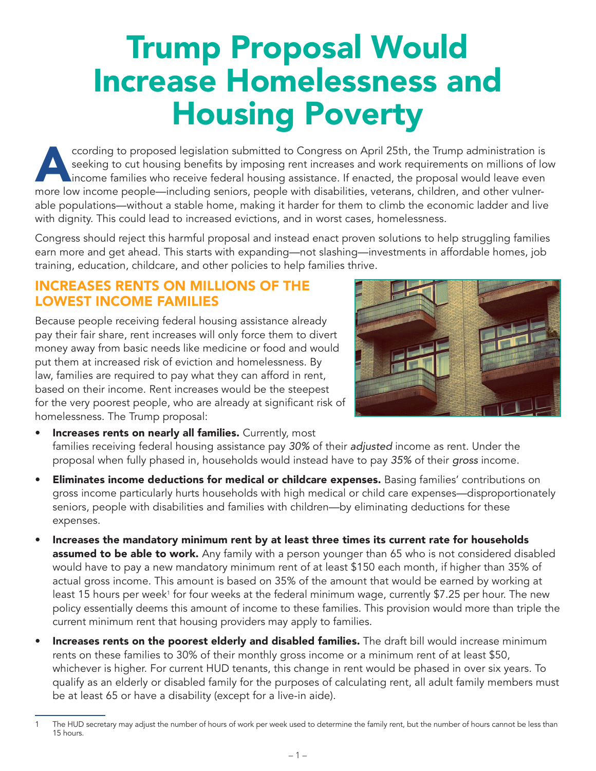## Trump Proposal Would Increase Homelessness and Housing Poverty

cording to proposed legislation submitted to Congress on April 25th, the Trump administration is<br>seeking to cut housing benefits by imposing rent increases and work requirements on millions of lo<br>income families who receiv seeking to cut housing benefits by imposing rent increases and work requirements on millions of low income families who receive federal housing assistance. If enacted, the proposal would leave even more low income people—including seniors, people with disabilities, veterans, children, and other vulnerable populations—without a stable home, making it harder for them to climb the economic ladder and live with dignity. This could lead to increased evictions, and in worst cases, homelessness.

Congress should reject this harmful proposal and instead enact proven solutions to help struggling families earn more and get ahead. This starts with expanding—not slashing—investments in affordable homes, job training, education, childcare, and other policies to help families thrive.

## INCREASES RENTS ON MILLIONS OF THE LOWEST INCOME FAMILIES

Because people receiving federal housing assistance already pay their fair share, rent increases will only force them to divert money away from basic needs like medicine or food and would put them at increased risk of eviction and homelessness. By law, families are required to pay what they can afford in rent, based on their income. Rent increases would be the steepest for the very poorest people, who are already at significant risk of homelessness. The Trump proposal:



- Increases rents on nearly all families. Currently, most families receiving federal housing assistance pay *30%* of their *adjusted* income as rent. Under the proposal when fully phased in, households would instead have to pay *35%* of their *gross* income.
- Eliminates income deductions for medical or childcare expenses. Basing families' contributions on gross income particularly hurts households with high medical or child care expenses—disproportionately seniors, people with disabilities and families with children—by eliminating deductions for these expenses.
- Increases the mandatory minimum rent by at least three times its current rate for households **assumed to be able to work.** Any family with a person younger than 65 who is not considered disabled would have to pay a new mandatory minimum rent of at least \$150 each month, if higher than 35% of actual gross income. This amount is based on 35% of the amount that would be earned by working at least 15 hours per week<sup>1</sup> for four weeks at the federal minimum wage, currently \$7.25 per hour. The new policy essentially deems this amount of income to these families. This provision would more than triple the current minimum rent that housing providers may apply to families.
- Increases rents on the poorest elderly and disabled families. The draft bill would increase minimum rents on these families to 30% of their monthly gross income or a minimum rent of at least \$50, whichever is higher. For current HUD tenants, this change in rent would be phased in over six years. To qualify as an elderly or disabled family for the purposes of calculating rent, all adult family members must be at least 65 or have a disability (except for a live-in aide).

<sup>1</sup> The HUD secretary may adjust the number of hours of work per week used to determine the family rent, but the number of hours cannot be less than 15 hours.